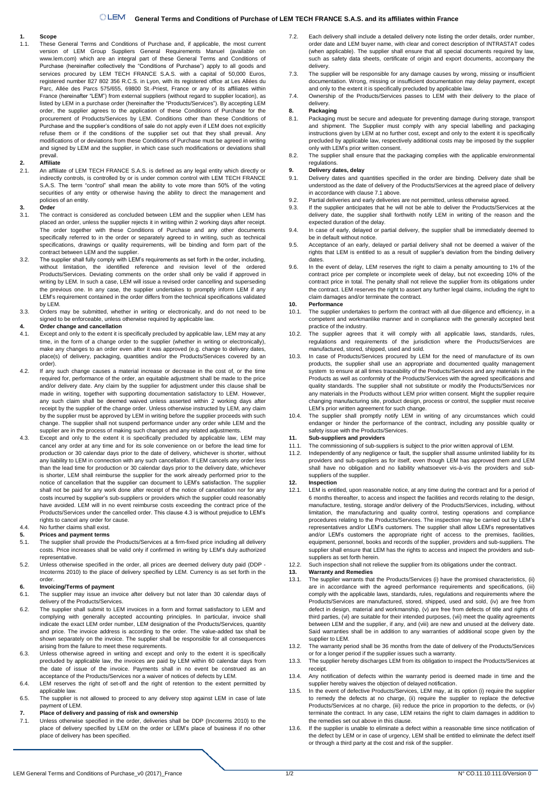## **1. Scope**

1.1. These General Terms and Conditions of Purchase and, if applicable, the most current version of LEM Group Suppliers General Requirements Manuel (available on www.lem.com) which are an integral part of these General Terms and Conditions of Purchase (hereinafter collectively the "Conditions of Purchase") apply to all goods and services procured by LEM TECH FRANCE S.A.S. with a capital of 50,000 Euros, registered number 827 802 356 R.C.S. in Lyon, with its registered office at Les Allées du Parc, Allée des Parcs 575/655, 69800 St.-Priest, France or any of its affiliates within France (hereinafter "LEM") from external suppliers (without regard to supplier location), as listed by LEM in a purchase order (hereinafter the "Products/Services"). By accepting LEM order, the supplier agrees to the application of these Conditions of Purchase for the procurement of Products/Services by LEM. Conditions other than these Conditions of Purchase and the supplier's conditions of sale do not apply even if LEM does not explicitly refuse them or if the conditions of the supplier set out that they shall prevail. Any modifications of or deviations from these Conditions of Purchase must be agreed in writing and signed by LEM and the supplier, in which case such modifications or deviations shall prevail.

## **2. Affiliate**

2.1. An affiliate of LEM TECH FRANCE S.A.S. is defined as any legal entity which directly or indirectly controls, is controlled by or is under common control with LEM TECH FRANCE S.A.S. The term "control" shall mean the ability to vote more than 50% of the voting securities of any entity or otherwise having the ability to direct the management and policies of an entity.

#### **3. Order**

- 3.1. The contract is considered as concluded between LEM and the supplier when LEM has placed an order, unless the supplier rejects it in writing within 2 working days after receipt. The order together with these Conditions of Purchase and any other documents specifically referred to in the order or separately agreed to in writing, such as technical specifications, drawings or quality requirements, will be binding and form part of the contract between LEM and the supplier.
- 3.2. The supplier shall fully comply with LEM's requirements as set forth in the order, including, without limitation, the identified reference and revision level of the ordered Products/Services. Deviating comments on the order shall only be valid if approved in writing by LEM. In such a case, LEM will issue a revised order cancelling and superseding the previous one. In any case, the supplier undertakes to promptly inform LEM if any LEM's requirement contained in the order differs from the technical specifications validated by LEM.
- 3.3. Orders may be submitted, whether in writing or electronically, and do not need to be signed to be enforceable, unless otherwise required by applicable law.

## **4. Order change and cancellation**<br>**4.1 Except and only to the extent it is**

- Except and only to the extent it is specifically precluded by applicable law, LEM may at any time, in the form of a change order to the supplier (whether in writing or electronically), make any changes to an order even after it was approved (e.g. change to delivery dates, place(s) of delivery, packaging, quantities and/or the Products/Services covered by an order).
- 4.2. If any such change causes a material increase or decrease in the cost of, or the time required for, performance of the order, an equitable adjustment shall be made to the price and/or delivery date. Any claim by the supplier for adjustment under this clause shall be made in writing, together with supporting documentation satisfactory to LEM. However, any such claim shall be deemed waived unless asserted within 2 working days after receipt by the supplier of the change order. Unless otherwise instructed by LEM, any claim by the supplier must be approved by LEM in writing before the supplier proceeds with such change. The supplier shall not suspend performance under any order while LEM and the supplier are in the process of making such changes and any related adjustments.
- 4.3. Except and only to the extent it is specifically precluded by applicable law, LEM may cancel any order at any time and for its sole convenience on or before the lead time for production or 30 calendar days prior to the date of delivery, whichever is shorter, without any liability to LEM in connection with any such cancellation. If LEM cancels any order less than the lead time for production or 30 calendar days prior to the delivery date, whichever is shorter, LEM shall reimburse the supplier for the work already performed prior to the notice of cancellation that the supplier can document to LEM's satisfaction. The supplier shall not be paid for any work done after receipt of the notice of cancellation nor for any costs incurred by supplier's sub-suppliers or providers which the supplier could reasonably have avoided. LEM will in no event reimburse costs exceeding the contract price of the Products/Services under the cancelled order. This clause 4.3 is without prejudice to LEM's rights to cancel any order for cause.

### 4.4. No further claims shall exist.

- **5. Prices and payment terms**
- 5.1. The supplier shall provide the Products/Services at a firm-fixed price including all delivery costs. Price increases shall be valid only if confirmed in writing by LEM's duly authorized representative.
- 5.2. Unless otherwise specified in the order, all prices are deemed delivery duty paid (DDP Incoterms 2010) to the place of delivery specified by LEM. Currency is as set forth in the order.

#### **6. Invoicing/Terms of payment**

- 6.1. The supplier may issue an invoice after delivery but not later than 30 calendar days of delivery of the Products/Services.
- 6.2. The supplier shall submit to LEM invoices in a form and format satisfactory to LEM and complying with generally accepted accounting principles. In particular, invoice shall indicate the exact LEM order number, LEM designation of the Products/Services, quantity and price. The invoice address is according to the order. The value-added tax shall be shown separately on the invoice. The supplier shall be responsible for all consequences arising from the failure to meet these requirements.
- 6.3. Unless otherwise agreed in writing and except and only to the extent it is specifically precluded by applicable law, the invoices are paid by LEM within 60 calendar days from the date of issue of the invoice. Payments shall in no event be construed as an acceptance of the Products/Services nor a waiver of notices of defects by LEM.
- 6.4. LEM reserves the right of set-off and the right of retention to the extent permitted by applicable law.
- 6.5. The supplier is not allowed to proceed to any delivery stop against LEM in case of late payment of LEM.
- **7. Place of delivery and passing of risk and ownership**
- Unless otherwise specified in the order, deliveries shall be DDP (Incoterms 2010) to the place of delivery specified by LEM on the order or LEM's place of business if no other place of delivery has been specified.
- 7.2. Each delivery shall include a detailed delivery note listing the order details, order number, order date and LEM buyer name, with clear and correct description of INTRASTAT codes (when applicable). The supplier shall ensure that all special documents required by law, such as safety data sheets, certificate of origin and export documents, accompany the delivery.
- 7.3. The supplier will be responsible for any damage causes by wrong, missing or insufficient documentation. Wrong, missing or insufficient documentation may delay payment, except and only to the extent it is specifically precluded by applicable law.
- 7.4. Ownership of the Products/Services passes to LEM with their delivery to the place of delivery.

# **8. Packaging**

- Packaging must be secure and adequate for preventing damage during storage, transport and shipment. The Supplier must comply with any special labelling and packaging instructions given by LEM at no further cost, except and only to the extent it is specifically precluded by applicable law, respectively additional costs may be imposed by the supplier only with LEM's prior written consent.
- 8.2. The supplier shall ensure that the packaging complies with the applicable environmental regulations.

## **9. Delivery dates, delay**

- 9.1. Delivery dates and quantities specified in the order are binding. Delivery date shall be understood as the date of delivery of the Products/Services at the agreed place of delivery in accordance with clause 7.1 above.
- 9.2. Partial deliveries and early deliveries are not permitted, unless otherwise agreed.
- 9.3. If the supplier anticipates that he will not be able to deliver the Products/Services at the delivery date, the supplier shall forthwith notify LEM in writing of the reason and the expected duration of the delay.
- 9.4. In case of early, delayed or partial delivery, the supplier shall be immediately deemed to be in default without notice.
- 9.5. Acceptance of an early, delayed or partial delivery shall not be deemed a waiver of the rights that LEM is entitled to as a result of supplier's deviation from the binding delivery dates.
- 9.6. In the event of delay, LEM reserves the right to claim a penalty amounting to 1% of the contract price per complete or incomplete week of delay, but not exceeding 10% of the contract price in total. The penalty shall not relieve the supplier from its obligations under the contract. LEM reserves the right to assert any further legal claims, including the right to claim damages and/or terminate the contract.
- **10. Performance**
- 10.1. The supplier undertakes to perform the contract with all due diligence and efficiency, in a competent and workmanlike manner and in compliance with the generally accepted best practice of the industry.
- 10.2. The supplier agrees that it will comply with all applicable laws, standards, rules, regulations and requirements of the jurisdiction where the Products/Services are manufactured, stored, shipped, used and sold.
- 10.3. In case of Products/Services procured by LEM for the need of manufacture of its own products, the supplier shall use an appropriate and documented quality management system to ensure at all times traceability of the Products/Services and any materials in the Products as well as conformity of the Products/Services with the agreed specifications and quality standards. The supplier shall not substitute or modify the Products/Services nor any materials in the Products without LEM prior written consent. Might the supplier require changing manufacturing site, product design, process or control, the supplier must receive LEM's prior written agreement for such change.
- 10.4. The supplier shall promptly notify LEM in writing of any circumstances which could endanger or hinder the performance of the contract, including any possible quality or safety issue with the Products/Services.

## **11. Sub-suppliers and providers**

- 11.1. The commissioning of sub-suppliers is subject to the prior written approval of LEM.
- 11.2. Independently of any negligence or fault, the supplier shall assume unlimited liability for its providers and sub-suppliers as for itself, even though LEM has approved them and LEM shall have no obligation and no liability whatsoever vis-à-vis the providers and subsuppliers of the supplier.

## **12. Inspection**

- 12.1. LEM is entitled, upon reasonable notice, at any time during the contract and for a period of 6 months thereafter, to access and inspect the facilities and records relating to the design, manufacture, testing, storage and/or delivery of the Products/Services, including, without limitation, the manufacturing and quality control, testing operations and compliance procedures relating to the Products/Services. The inspection may be carried out by LEM's representatives and/or LEM's customers. The supplier shall allow LEM's representatives and/or LEM's customers the appropriate right of access to the premises, facilities, equipment, personnel, books and records of the supplier, providers and sub-suppliers. The supplier shall ensure that LEM has the rights to access and inspect the providers and subsuppliers as set forth herein.
- 12.2. Such inspection shall not relieve the supplier from its obligations under the contract.

### **13. Warranty and Remedies**

- 13.1. The supplier warrants that the Products/Services (i) have the promised characteristics, (ii) are in accordance with the agreed performance requirements and specifications, (iii) comply with the applicable laws, standards, rules, regulations and requirements where the Products/Services are manufactured, stored, shipped, used and sold, (iv) are free from defect in design, material and workmanship, (v) are free from defects of title and rights of third parties, (vi) are suitable for their intended purposes, (vii) meet the quality agreements between LEM and the supplier, if any, and (viii) are new and unused at the delivery date. Said warranties shall be in addition to any warranties of additional scope given by the supplier to LEM.
- 13.2. The warranty period shall be 36 months from the date of delivery of the Products/Services or for a longer period if the supplier issues such a warranty.
- 13.3. The supplier hereby discharges LEM from its obligation to inspect the Products/Services at receipt.
- 13.4. Any notification of defects within the warranty period is deemed made in time and the supplier hereby waives the objection of delayed notification.
- 13.5. In the event of defective Products/Services, LEM may, at its option (i) require the supplier to remedy the defects at no charge, (ii) require the supplier to replace the defective Products/Services at no charge, (iii) reduce the price in proportion to the defects, or (iv) terminate the contract. In any case, LEM retains the right to claim damages in addition to the remedies set out above in this clause.
- 13.6. If the supplier is unable to eliminate a defect within a reasonable time since notification of the defect by LEM or in case of urgency, LEM shall be entitled to eliminate the defect itself or through a third party at the cost and risk of the supplier.